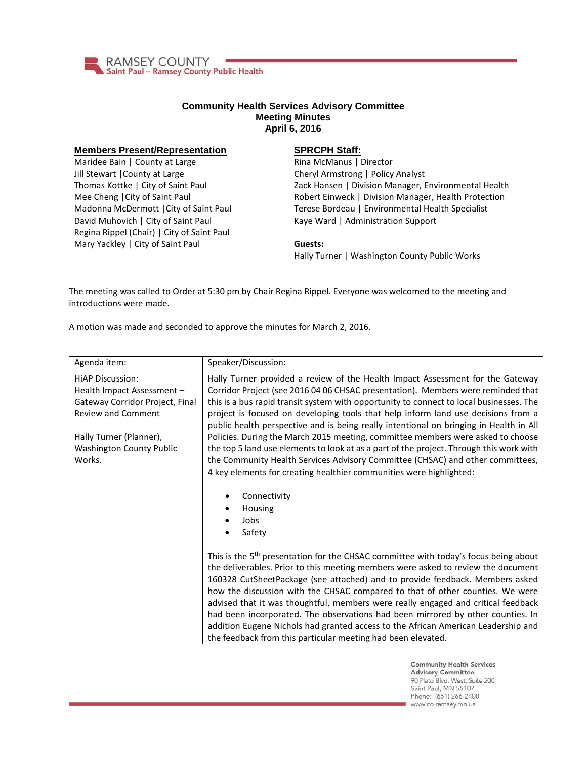

## **Community Health Services Advisory Committee Meeting Minutes April 6, 2016**

## **Members Present/Representation**

Maridee Bain | County at Large Jill Stewart |County at Large Thomas Kottke | City of Saint Paul Mee Cheng |City of Saint Paul Madonna McDermott |City of Saint Paul David Muhovich | City of Saint Paul Regina Rippel (Chair) | City of Saint Paul Mary Yackley | City of Saint Paul

## **SPRCPH Staff:**

Rina McManus | Director Cheryl Armstrong | Policy Analyst Zack Hansen | Division Manager, Environmental Health Robert Einweck | Division Manager, Health Protection Terese Bordeau | Environmental Health Specialist Kaye Ward | Administration Support

## **Guests:**

Hally Turner | Washington County Public Works

The meeting was called to Order at 5:30 pm by Chair Regina Rippel. Everyone was welcomed to the meeting and introductions were made.

A motion was made and seconded to approve the minutes for March 2, 2016.

| Agenda item:                                                                                                          | Speaker/Discussion:                                                                                                                                                                                                                                                                                                                                                                                                                                                                                                                                                                                                                                                                |
|-----------------------------------------------------------------------------------------------------------------------|------------------------------------------------------------------------------------------------------------------------------------------------------------------------------------------------------------------------------------------------------------------------------------------------------------------------------------------------------------------------------------------------------------------------------------------------------------------------------------------------------------------------------------------------------------------------------------------------------------------------------------------------------------------------------------|
| <b>HIAP Discussion:</b><br>Health Impact Assessment -<br>Gateway Corridor Project, Final<br><b>Review and Comment</b> | Hally Turner provided a review of the Health Impact Assessment for the Gateway<br>Corridor Project (see 2016 04 06 CHSAC presentation). Members were reminded that<br>this is a bus rapid transit system with opportunity to connect to local businesses. The<br>project is focused on developing tools that help inform land use decisions from a<br>public health perspective and is being really intentional on bringing in Health in All                                                                                                                                                                                                                                       |
| Hally Turner (Planner),<br><b>Washington County Public</b><br>Works.                                                  | Policies. During the March 2015 meeting, committee members were asked to choose<br>the top 5 land use elements to look at as a part of the project. Through this work with<br>the Community Health Services Advisory Committee (CHSAC) and other committees,<br>4 key elements for creating healthier communities were highlighted:                                                                                                                                                                                                                                                                                                                                                |
|                                                                                                                       | Connectivity<br>Housing<br>Jobs<br>Safety                                                                                                                                                                                                                                                                                                                                                                                                                                                                                                                                                                                                                                          |
|                                                                                                                       | This is the 5 <sup>th</sup> presentation for the CHSAC committee with today's focus being about<br>the deliverables. Prior to this meeting members were asked to review the document<br>160328 CutSheetPackage (see attached) and to provide feedback. Members asked<br>how the discussion with the CHSAC compared to that of other counties. We were<br>advised that it was thoughtful, members were really engaged and critical feedback<br>had been incorporated. The observations had been mirrored by other counties. In<br>addition Eugene Nichols had granted access to the African American Leadership and<br>the feedback from this particular meeting had been elevated. |

**Community Health Services Advisory Committee** 90 Plato Blvd. West, Suite 200 Saint Paul, MN 55107 Phone: (651) 266-2400 www.co.ramsey.mn.us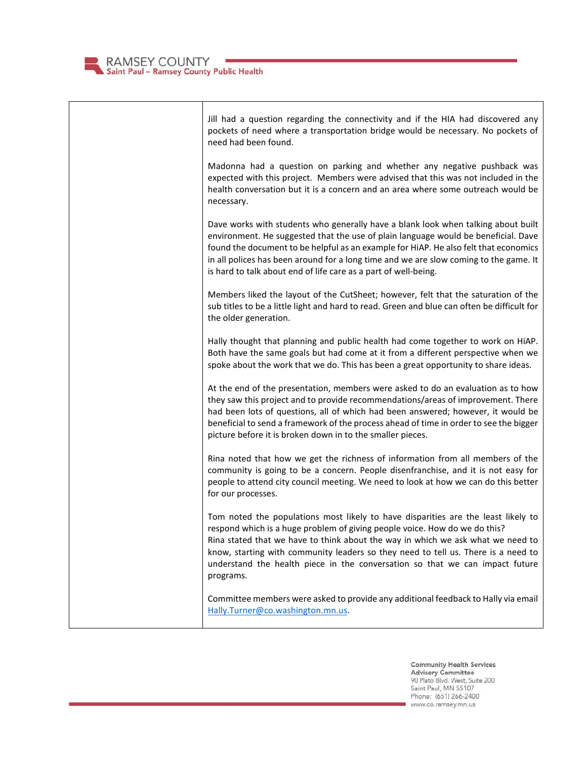

Jill had a question regarding the connectivity and if the HIA had discovered any pockets of need where a transportation bridge would be necessary. No pockets of need had been found. Madonna had a question on parking and whether any negative pushback was expected with this project. Members were advised that this was not included in the health conversation but it is a concern and an area where some outreach would be necessary. Dave works with students who generally have a blank look when talking about built environment. He suggested that the use of plain language would be beneficial. Dave found the document to be helpful as an example for HiAP. He also felt that economics in all polices has been around for a long time and we are slow coming to the game. It is hard to talk about end of life care as a part of well-being. Members liked the layout of the CutSheet; however, felt that the saturation of the sub titles to be a little light and hard to read. Green and blue can often be difficult for the older generation. Hally thought that planning and public health had come together to work on HiAP. Both have the same goals but had come at it from a different perspective when we spoke about the work that we do. This has been a great opportunity to share ideas. At the end of the presentation, members were asked to do an evaluation as to how they saw this project and to provide recommendations/areas of improvement. There had been lots of questions, all of which had been answered; however, it would be beneficial to send a framework of the process ahead of time in order to see the bigger picture before it is broken down in to the smaller pieces. Rina noted that how we get the richness of information from all members of the community is going to be a concern. People disenfranchise, and it is not easy for people to attend city council meeting. We need to look at how we can do this better for our processes. Tom noted the populations most likely to have disparities are the least likely to respond which is a huge problem of giving people voice. How do we do this? Rina stated that we have to think about the way in which we ask what we need to know, starting with community leaders so they need to tell us. There is a need to understand the health piece in the conversation so that we can impact future programs. Committee members were asked to provide any additional feedback to Hally via email [Hally.Turner@co.washington.mn.us.](mailto:Hally.Turner@co.washington.mn.us)

> **Community Health Services Advisory Committee** 90 Plato Blvd. West, Suite 200 Saint Paul, MN 55107 Phone: (651) 266-2400 www.co.ramsey.mn.us